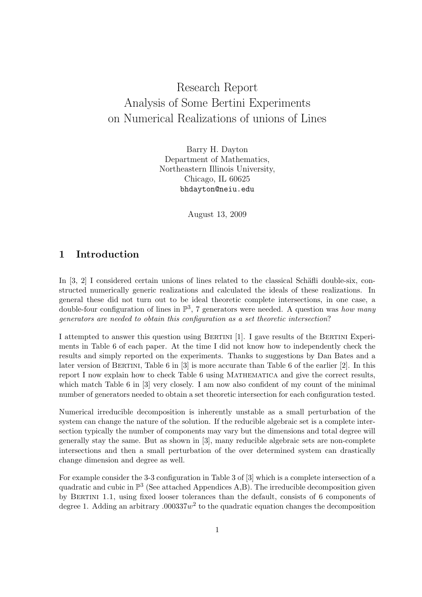# Research Report Analysis of Some Bertini Experiments on Numerical Realizations of unions of Lines

Barry H. Dayton Department of Mathematics, Northeastern Illinois University, Chicago, IL 60625 bhdayton@neiu.edu

August 13, 2009

#### 1 Introduction

In  $[3, 2]$  I considered certain unions of lines related to the classical Schäfli double-six, constructed numerically generic realizations and calculated the ideals of these realizations. In general these did not turn out to be ideal theoretic complete intersections, in one case, a double-four configuration of lines in  $\mathbb{P}^3$ , 7 generators were needed. A question was *how many* generators are needed to obtain this configuration as a set theoretic intersection?

I attempted to answer this question using Bertini [1]. I gave results of the Bertini Experiments in Table 6 of each paper. At the time I did not know how to independently check the results and simply reported on the experiments. Thanks to suggestions by Dan Bates and a later version of Bertini, Table 6 in [3] is more accurate than Table 6 of the earlier [2]. In this report I now explain how to check Table 6 using Mathematica and give the correct results, which match Table 6 in [3] very closely. I am now also confident of my count of the minimal number of generators needed to obtain a set theoretic intersection for each configuration tested.

Numerical irreducible decomposition is inherently unstable as a small perturbation of the system can change the nature of the solution. If the reducible algebraic set is a complete intersection typically the number of components may vary but the dimensions and total degree will generally stay the same. But as shown in [3], many reducible algebraic sets are non-complete intersections and then a small perturbation of the over determined system can drastically change dimension and degree as well.

For example consider the 3-3 configuration in Table 3 of [3] which is a complete intersection of a quadratic and cubic in  $\mathbb{P}^3$  (See attached Appendices A,B). The irreducible decomposition given by BERTINI 1.1, using fixed looser tolerances than the default, consists of 6 components of degree 1. Adding an arbitrary .000337 $w^2$  to the quadratic equation changes the decomposition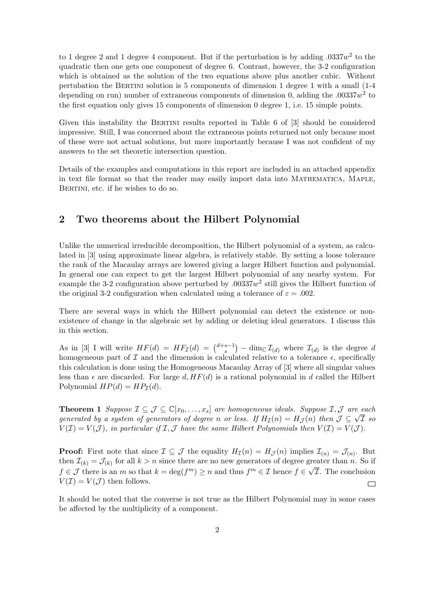to 1 degree 2 and 1 degree 4 component. But if the perturbation is by adding  $.0337w^2$  to the quadratic then one gets one component of degree 6. Contrast, however, the 3-2 configuration which is obtained as the solution of the two equations above plus another cubic. Without pertubation the BERTINI solution is 5 components of dimension 1 degree 1 with a small (1-4 depending on run) number of extraneous components of dimension 0, adding the  $.00337w^2$  to the first equation only gives 15 components of dimension 0 degree 1, i.e. 15 simple points.

Given this instability the BERTINI results reported in Table 6 of [3] should be considered impressive. Still, I was concerned about the extraneous points returned not only because most of these were not actual solutions, but more importantly because I was not confident of my answers to the set theoretic intersection question.

Details of the examples and computations in this report are included in an attached appendix in text file format so that the reader may easily import data into MATHEMATICA, MAPLE, BERTINI, etc. if he wishes to do so.

### 2 Two theorems about the Hilbert Polynomial

Unlike the numerical irreducible decomposition, the Hilbert polynomial of a system, as calculated in [3] using approximate linear algebra, is relatively stable. By setting a loose tolerance the rank of the Macaulay arrays are lowered giving a larger Hilbert function and polynomial. In general one can expect to get the largest Hilbert polynomial of any nearby system. For example the 3-2 configuration above perturbed by  $.00337w^2$  still gives the Hilbert function of the original 3-2 configuration when calculated using a tolerance of  $\varepsilon = .002$ .

There are several ways in which the Hilbert polynomial can detect the existence or nonexistence of change in the algebraic set by adding or deleting ideal generators. I discuss this in this section.

As in [3] I will write  $HF(d) = HF_{\mathcal{I}}(d) = {d+s-1 \choose s}$  $\binom{s-1}{s}$  – dim<sub>C</sub>  $\mathcal{I}_{(d)}$  where  $\mathcal{I}_{(d)}$  is the degree d homogeneous part of  $\mathcal I$  and the dimension is calculated relative to a tolerance  $\epsilon$ , specifically this calculation is done using the Homogeneous Macaulay Array of [3] where all singular values less than  $\epsilon$  are discarded. For large d,  $HF(d)$  is a rational polynomial in d called the Hilbert Polynomial  $HP(d) = HP<sub>\mathcal{I}}(d)</sub>$ .

**Theorem 1** Suppose  $\mathcal{I} \subseteq \mathcal{J} \subseteq \mathbb{C}[x_0,\ldots,x_s]$  are homogeneous ideals. Suppose  $\mathcal{I},\mathcal{J}$  are each **Theorem 1** suppose  $L \subseteq J \subseteq \cup [x_0, \ldots, x_s]$  are nomogeneous vacals. Suppose  $L, J$  are each generated by a system of generators of degree n or less. If  $H_{\mathcal{I}}(n) = H_{\mathcal{J}}(n)$  then  $\mathcal{J} \subseteq \sqrt{\mathcal{I}}$  so  $V(\mathcal{I}) = V(\mathcal{J})$ , in particular if  $\mathcal{I}, \mathcal{J}$  have the same Hilbert Polynomials then  $V(\mathcal{I}) = V(\mathcal{J})$ .

**Proof:** First note that since  $\mathcal{I} \subseteq \mathcal{J}$  the equality  $H_{\mathcal{I}}(n) = H_{\mathcal{J}}(n)$  implies  $\mathcal{I}_{(n)} = \mathcal{J}_{(n)}$ . But then  $\mathcal{I}_{(k)} = \mathcal{J}_{(k)}$  for all  $k > n$  since there are no new generators of degree greater than n. So if  $f \in \mathcal{J}$  there is an m so that  $k = \deg(f^m) \geq n$  and thus  $f^m \in \mathcal{I}$  hence  $f \in \sqrt{\mathcal{I}}$ . The conclusion  $V(\mathcal{I}) = V(\mathcal{J})$  then follows.  $\Box$ 

It should be noted that the converse is not true as the Hilbert Polynomial may in some cases be affected by the multiplicity of a component.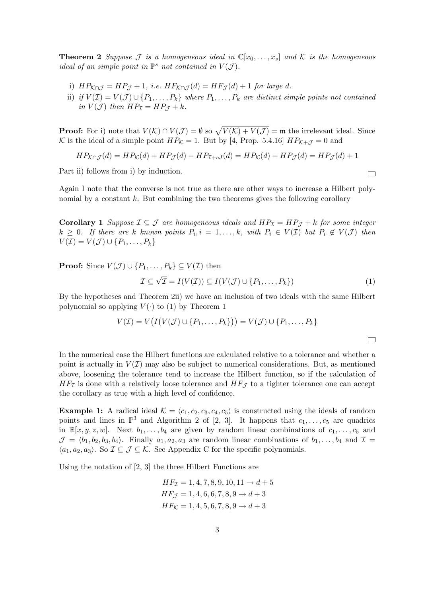**Theorem 2** Suppose J is a homogeneous ideal in  $\mathbb{C}[x_0, \ldots, x_s]$  and K is the homogeneous ideal of an simple point in  $\mathbb{P}^s$  not contained in  $V(\mathcal{J})$ .

- i)  $HP_{\mathcal{K} \cap \mathcal{J}} = HP_{\mathcal{J}} + 1$ , i.e.  $HF_{\mathcal{K} \cap \mathcal{J}}(d) = HF_{\mathcal{J}}(d) + 1$  for large d.
- ii) if  $V(\mathcal{I}) = V(\mathcal{J}) \cup \{P_1, \ldots, P_k\}$  where  $P_1, \ldots, P_k$  are distinct simple points not contained in  $V(\mathcal{J})$  then  $HP_{\mathcal{I}} = HP_{\mathcal{J}} + k$ .

**Proof:** For i) note that  $V(\mathcal{K}) \cap V(\mathcal{J}) = \emptyset$  so  $\sqrt{V(\mathcal{K}) + V(\mathcal{J})} = \mathfrak{m}$  the irrelevant ideal. Since K is the ideal of a simple point  $HP_{\mathcal{K}} = 1$ . But by [4, Prop. 5.4.16]  $HP_{\mathcal{K}+\mathcal{J}} = 0$  and

$$
HP_{\mathcal{K}\cap\mathcal{J}}(d) = HP_{\mathcal{K}}(d) + HP_{\mathcal{J}}(d) - HP_{\mathcal{I}+cJ}(d) = HP_{\mathcal{K}}(d) + HP_{\mathcal{J}}(d) = HP_{\mathcal{J}}(d) + 1
$$

Part ii) follows from i) by induction.

Again I note that the converse is not true as there are other ways to increase a Hilbert polynomial by a constant  $k$ . But combining the two theorems gives the following corollary

**Corollary 1** Suppose  $\mathcal{I} \subseteq \mathcal{J}$  are homogeneous ideals and  $HP_{\mathcal{I}} = HP_{\mathcal{J}} + k$  for some integer  $k \geq 0$ . If there are k known points  $P_i$ ,  $i = 1, ..., k$ , with  $P_i \in V(\mathcal{I})$  but  $P_i \notin V(\mathcal{J})$  then  $V(\mathcal{I}) = V(\mathcal{J}) \cup \{P_1, \ldots, P_k\}$ 

**Proof:** Since  $V(\mathcal{J}) \cup \{P_1, \ldots, P_k\} \subseteq V(\mathcal{I})$  then

$$
\mathcal{I} \subseteq \sqrt{\mathcal{I}} = I(V(\mathcal{I})) \subseteq I(V(\mathcal{J}) \cup \{P_1, \dots, P_k\})
$$
\n<sup>(1)</sup>

 $\Box$ 

By the hypotheses and Theorem 2ii) we have an inclusion of two ideals with the same Hilbert polynomial so applying  $V(\cdot)$  to (1) by Theorem 1

$$
V(\mathcal{I}) = V\big(I\big(V(\mathcal{J}) \cup \{P_1, \ldots, P_k\}\big)\big) = V(\mathcal{J}) \cup \{P_1, \ldots, P_k\}
$$

In the numerical case the Hilbert functions are calculated relative to a tolerance and whether a point is actually in  $V(\mathcal{I})$  may also be subject to numerical considerations. But, as mentioned above, loosening the tolerance tend to increase the Hilbert function, so if the calculation of  $HF_{\mathcal{I}}$  is done with a relatively loose tolerance and  $HF_{\mathcal{I}}$  to a tighter tolerance one can accept the corollary as true with a high level of confidence.

**Example 1:** A radical ideal  $K = \langle c_1, c_2, c_3, c_4, c_5 \rangle$  is constructed using the ideals of random points and lines in  $\mathbb{P}^3$  and Algorithm 2 of [2, 3]. It happens that  $c_1, \ldots, c_5$  are quadrics in  $\mathbb{R}[x, y, z, w]$ . Next  $b_1, \ldots, b_4$  are given by random linear combinations of  $c_1, \ldots, c_5$  and  $\mathcal{J} = \langle b_1, b_2, b_3, b_4 \rangle$ . Finally  $a_1, a_2, a_3$  are random linear combinations of  $b_1, \ldots, b_4$  and  $\mathcal{I} =$  $\langle a_1, a_2, a_3 \rangle$ . So  $\mathcal{I} \subseteq \mathcal{J} \subseteq \mathcal{K}$ . See Appendix C for the specific polynomials.

Using the notation of [2, 3] the three Hilbert Functions are

$$
HF_{\mathcal{I}} = 1, 4, 7, 8, 9, 10, 11 \rightarrow d + 5
$$
  

$$
HF_{\mathcal{J}} = 1, 4, 6, 6, 7, 8, 9 \rightarrow d + 3
$$
  

$$
HF_{\mathcal{K}} = 1, 4, 5, 6, 7, 8, 9 \rightarrow d + 3
$$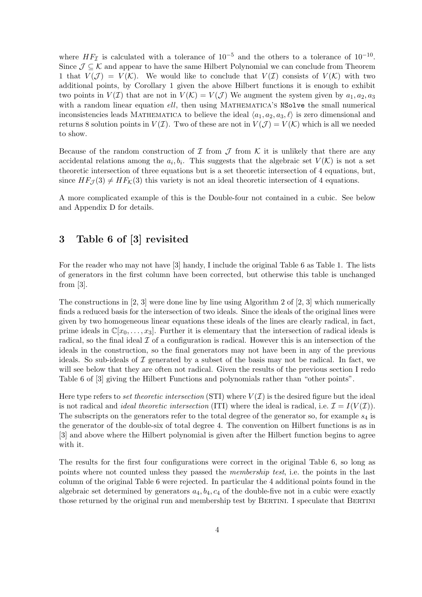where  $HF_{\mathcal{I}}$  is calculated with a tolerance of  $10^{-5}$  and the others to a tolerance of  $10^{-10}$ . Since  $\mathcal{J} \subseteq \mathcal{K}$  and appear to have the same Hilbert Polynomial we can conclude from Theorem 1 that  $V(\mathcal{J}) = V(\mathcal{K})$ . We would like to conclude that  $V(\mathcal{I})$  consists of  $V(\mathcal{K})$  with two additional points, by Corollary 1 given the above Hilbert functions it is enough to exhibit two points in  $V(\mathcal{I})$  that are not in  $V(\mathcal{K})=V(\mathcal{J})$  We augment the system given by  $a_1, a_2, a_3$ with a random linear equation ell, then using MATHEMATICA's NSolve the small numerical inconsistencies leads MATHEMATICA to believe the ideal  $\langle a_1, a_2, a_3, \ell \rangle$  is zero dimensional and returns 8 solution points in  $V(\mathcal{I})$ . Two of these are not in  $V(\mathcal{J}) = V(\mathcal{K})$  which is all we needed to show.

Because of the random construction of  $\mathcal I$  from  $\mathcal J$  from  $\mathcal K$  it is unlikely that there are any accidental relations among the  $a_i, b_i$ . This suggests that the algebraic set  $V(\mathcal{K})$  is not a set theoretic intersection of three equations but is a set theoretic intersection of 4 equations, but, since  $HF_{\mathcal{J}}(3) \neq HF_{\mathcal{K}}(3)$  this variety is not an ideal theoretic intersection of 4 equations.

A more complicated example of this is the Double-four not contained in a cubic. See below and Appendix D for details.

### 3 Table 6 of [3] revisited

For the reader who may not have [3] handy, I include the original Table 6 as Table 1. The lists of generators in the first column have been corrected, but otherwise this table is unchanged from [3].

The constructions in [2, 3] were done line by line using Algorithm 2 of [2, 3] which numerically finds a reduced basis for the intersection of two ideals. Since the ideals of the original lines were given by two homogeneous linear equations these ideals of the lines are clearly radical, in fact, prime ideals in  $\mathbb{C}[x_0, \ldots, x_3]$ . Further it is elementary that the intersection of radical ideals is radical, so the final ideal  $\mathcal I$  of a configuration is radical. However this is an intersection of the ideals in the construction, so the final generators may not have been in any of the previous ideals. So sub-ideals of  $\mathcal I$  generated by a subset of the basis may not be radical. In fact, we will see below that they are often not radical. Given the results of the previous section I redo Table 6 of [3] giving the Hilbert Functions and polynomials rather than "other points".

Here type refers to set theoretic intersection (STI) where  $V(\mathcal{I})$  is the desired figure but the ideal is not radical and *ideal theoretic intersection* (ITI) where the ideal is radical, i.e.  $\mathcal{I} = I(V(\mathcal{I}))$ . The subscripts on the generators refer to the total degree of the generator so, for example  $s<sub>4</sub>$  is the generator of the double-six of total degree 4. The convention on Hilbert functions is as in [3] and above where the Hilbert polynomial is given after the Hilbert function begins to agree with it.

The results for the first four configurations were correct in the original Table 6, so long as points where not counted unless they passed the membership test, i.e. the points in the last column of the original Table 6 were rejected. In particular the 4 additional points found in the algebraic set determined by generators  $a_4, b_4, c_4$  of the double-five not in a cubic were exactly those returned by the original run and membership test by BERTINI. I speculate that BERTINI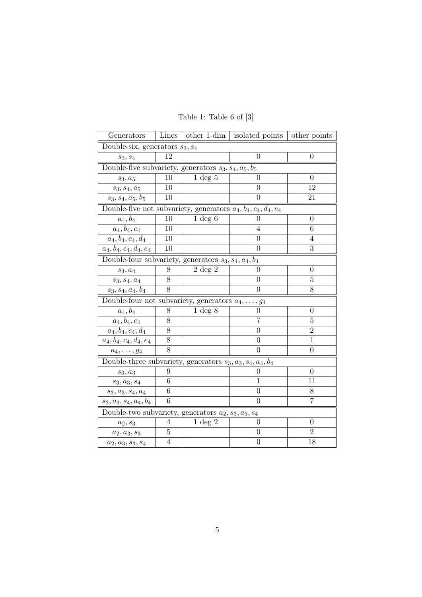| Generators                                                       | Lines          |                    | other 1-dim $\vert$ isolated points | other points     |  |  |  |
|------------------------------------------------------------------|----------------|--------------------|-------------------------------------|------------------|--|--|--|
| Double-six, generators $s_3, s_4$                                |                |                    |                                     |                  |  |  |  |
| $s_3, s_4$                                                       | 12             |                    | $\overline{0}$                      | $\overline{0}$   |  |  |  |
| Double-five subvariety, generators $s_3, s_4, a_5, b_5$          |                |                    |                                     |                  |  |  |  |
| $s_3, a_5$                                                       | 10             | $1 \deg 5$         | 0                                   | $\theta$         |  |  |  |
| $s_3, s_4, a_5$                                                  | 10             |                    | $\overline{0}$                      | 12               |  |  |  |
| $s_3, s_4, a_5, b_5$                                             | 10             |                    | $\overline{0}$                      | 21               |  |  |  |
| Double-five not subvariety, generators $a_4, b_4, c_4, d_4, e_4$ |                |                    |                                     |                  |  |  |  |
| $a_4, b_4$                                                       | 10             | $1 \deg 6$         | 0                                   | $\overline{0}$   |  |  |  |
| $a_4, b_4, c_4$                                                  | 10             |                    | 4                                   | 6                |  |  |  |
| $a_4, b_4, c_4, d_4$                                             | 10             |                    | $\overline{0}$                      | 4                |  |  |  |
| $a_4, b_4, c_4, d_4, e_4$                                        | 10             |                    | $\theta$                            | 3                |  |  |  |
| Double-four subvariety, generators $s_3$ , $s_4$ , $a_4$ , $b_4$ |                |                    |                                     |                  |  |  |  |
| $s_3, a_4$                                                       | 8              | $2 \deg 2$         | 0                                   | $\overline{0}$   |  |  |  |
| $s_3, s_4, a_4$                                                  | 8              |                    | 0                                   | 5                |  |  |  |
| $s_3, s_4, a_4, b_4$                                             | 8              |                    | 0                                   | 8                |  |  |  |
| Double-four not subvariety, generators $a_4, \ldots, g_4$        |                |                    |                                     |                  |  |  |  |
| $a_4, b_4$                                                       | 8              | $1 \deg 8$         | 0                                   | $\boldsymbol{0}$ |  |  |  |
| $a_4, b_4, c_4$                                                  | 8              |                    | $\overline{7}$                      | 5                |  |  |  |
| $a_4, b_4, c_4, d_4$                                             | 8              |                    | 0                                   | $\overline{2}$   |  |  |  |
| $a_4, b_4, c_4, d_4, e_4$                                        | 8              |                    | 0                                   | $\mathbf{1}$     |  |  |  |
| $a_4,\ldots,g_4$                                                 | 8              |                    | 0                                   | $\boldsymbol{0}$ |  |  |  |
| Double-three subvariety, generators $s_3, a_3, s_4, a_4, b_4$    |                |                    |                                     |                  |  |  |  |
| $s_3, a_3$                                                       | 9              |                    | 0                                   | $\theta$         |  |  |  |
| $s_3, a_3, s_4$                                                  | 6              |                    | 1                                   | 11               |  |  |  |
| $\mathfrak{s}_3, \mathfrak{a}_3, \mathfrak{s}_4, \mathfrak{a}_4$ | 6              |                    | 0                                   | 8                |  |  |  |
| $s_3, a_3, s_4, a_4, b_4$                                        | 6              |                    | $\overline{0}$                      | $\overline{7}$   |  |  |  |
| Double-two subvariety, generators $a_2, s_3, a_3, s_4$           |                |                    |                                     |                  |  |  |  |
| $a_2, s_3$                                                       | 4              | $1 \text{ deg } 2$ | 0                                   | $\overline{0}$   |  |  |  |
| $\boldsymbol{a_2}, \boldsymbol{a_3}, \boldsymbol{s_3}$           | 5              |                    | 0                                   | $\overline{2}$   |  |  |  |
| $a_2, a_3, s_3, s_4$                                             | $\overline{4}$ |                    | $\overline{0}$                      | 18               |  |  |  |

Table 1: Table 6 of [3]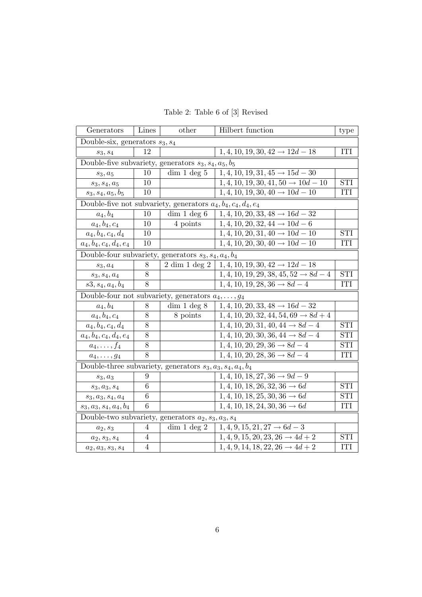| Generators                                                       | Lines          | other             | Hilbert function                                  | type       |  |  |  |  |
|------------------------------------------------------------------|----------------|-------------------|---------------------------------------------------|------------|--|--|--|--|
| Double-six, generators $s_3, s_4$                                |                |                   |                                                   |            |  |  |  |  |
| $s_3, s_4$                                                       | 12             |                   | $1, 4, 10, 19, 30, 42 \rightarrow 12d - 18$       | <b>ITI</b> |  |  |  |  |
| Double-five subvariety, generators $s_3, s_4, a_5, b_5$          |                |                   |                                                   |            |  |  |  |  |
| $s_3, a_5$                                                       | 10             | dim 1 deg 5       | $1, 4, 10, 19, 31, 45 \rightarrow 15d - 30$       |            |  |  |  |  |
| $s_3, s_4, a_5$                                                  | 10             |                   | $1, 4, 10, 19, 30, 41, 50 \rightarrow 10d - 10$   | <b>STI</b> |  |  |  |  |
| $s_3, s_4, a_5, b_5$                                             | 10             |                   | $1, 4, 10, 19, 30, 40 \rightarrow 10d - 10$       | ITI        |  |  |  |  |
| Double-five not subvariety, generators $a_4, b_4, c_4, d_4, e_4$ |                |                   |                                                   |            |  |  |  |  |
| $a_4, b_4$                                                       | 10             | dim 1 deg 6       | $1, 4, 10, 20, 33, 48 \rightarrow 16d - 32$       |            |  |  |  |  |
| $a_4, b_4, c_4$                                                  | 10             | 4 points          | $1, 4, 10, 20, 32, 44 \rightarrow 10d - 6$        |            |  |  |  |  |
| $a_4, b_4, c_4, d_4$                                             | 10             |                   | $1, 4, 10, 20, 31, 40 \rightarrow 10d - 10$       | <b>STI</b> |  |  |  |  |
| $a_4, b_4, c_4, d_4, e_4$                                        | 10             |                   | $1, 4, 10, 20, 30, 40 \rightarrow 10d - 10$       | ITI        |  |  |  |  |
| Double-four subvariety, generators $s_3, s_4, a_4, b_4$          |                |                   |                                                   |            |  |  |  |  |
| $s_3, a_4$                                                       | 8              | $2 \dim 1 \deg 2$ | $1, 4, 10, 19, 30, 42 \rightarrow 12d - 18$       |            |  |  |  |  |
| $s_3, s_4, a_4$                                                  | 8              |                   | $1, 4, 10, 19, 29, 38, 45, 52 \rightarrow 8d - 4$ | <b>STI</b> |  |  |  |  |
| $s3, s_4, a_4, b_4$                                              | 8              |                   | $1, 4, 10, 19, 28, 36 \rightarrow 8d - 4$         | <b>ITI</b> |  |  |  |  |
| Double-four not subvariety, generators $a_4, \ldots, g_4$        |                |                   |                                                   |            |  |  |  |  |
| $a_4, b_4$                                                       | 8              | dim 1 deg 8       | $1, 4, 10, 20, 33, 48 \rightarrow 16d - 32$       |            |  |  |  |  |
| $a_4, b_4, c_4$                                                  | 8              | 8 points          | $1, 4, 10, 20, 32, 44, 54, 69 \rightarrow 8d + 4$ |            |  |  |  |  |
| $a_4, b_4, c_4, d_4$                                             | 8              |                   | $1, 4, 10, 20, 31, 40, 44 \rightarrow 8d - 4$     | <b>STI</b> |  |  |  |  |
| $a_4, b_4, c_4, d_4, e_4$                                        | $8\,$          |                   | $1, 4, 10, 20, 30, 36, 44 \rightarrow 8d - 4$     | <b>STI</b> |  |  |  |  |
| $a_4,\ldots,f_4$                                                 | $8\,$          |                   | $1, 4, 10, 20, 29, 36 \rightarrow 8d - 4$         | <b>STI</b> |  |  |  |  |
| $a_4,\ldots,g_4$                                                 | 8              |                   | $1, 4, 10, 20, 28, 36 \rightarrow 8d - 4$         | <b>ITI</b> |  |  |  |  |
| Double-three subvariety, generators $s_3, a_3, s_4, a_4, b_4$    |                |                   |                                                   |            |  |  |  |  |
| $s_3, a_3$                                                       | 9              |                   | $1, 4, 10, 18, 27, 36 \rightarrow 9d - 9$         |            |  |  |  |  |
| $s_3, a_3, s_4$                                                  | 6              |                   | $1, 4, 10, 18, 26, 32, 36 \rightarrow 6d$         | <b>STI</b> |  |  |  |  |
| $s_3, a_3, s_4, a_4$                                             | 6              |                   | $1, 4, 10, 18, 25, 30, 36 \rightarrow 6d$         | <b>STI</b> |  |  |  |  |
| $s_3, a_3, s_4, a_4, b_4$                                        | 6              |                   | $1, 4, 10, 18, 24, 30, 36 \rightarrow 6d$         | <b>ITI</b> |  |  |  |  |
| Double-two subvariety, generators $a_2, s_3, a_3, s_4$           |                |                   |                                                   |            |  |  |  |  |
| $a_2, s_3$                                                       | 4              | dim 1 deg 2       | $1, 4, 9, 15, 21, 27 \rightarrow 6d - 3$          |            |  |  |  |  |
| $\boldsymbol{a_2}, \boldsymbol{s_3}, \boldsymbol{s_4}$           | 4              |                   | $1, 4, 9, 15, 20, 23, 26 \rightarrow 4d + 2$      | <b>STI</b> |  |  |  |  |
| $a_2, a_3, s_3, s_4$                                             | $\overline{4}$ |                   | $1, 4, 9, 14, 18, 22, 26 \rightarrow 4d + 2$      | <b>ITI</b> |  |  |  |  |

Table 2: Table 6 of [3] Revised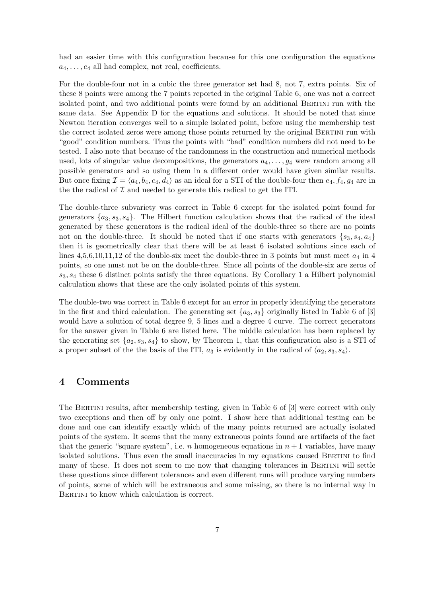had an easier time with this configuration because for this one configuration the equations  $a_4, \ldots, e_4$  all had complex, not real, coefficients.

For the double-four not in a cubic the three generator set had 8, not 7, extra points. Six of these 8 points were among the 7 points reported in the original Table 6, one was not a correct isolated point, and two additional points were found by an additional BERTINI run with the same data. See Appendix D for the equations and solutions. It should be noted that since Newton iteration converges well to a simple isolated point, before using the membership test the correct isolated zeros were among those points returned by the original BERTINI run with "good" condition numbers. Thus the points with "bad" condition numbers did not need to be tested. I also note that because of the randomness in the construction and numerical methods used, lots of singular value decompositions, the generators  $a_4, \ldots, a_4$  were random among all possible generators and so using them in a different order would have given similar results. But once fixing  $\mathcal{I} = \langle a_4, b_4, c_4, d_4 \rangle$  as an ideal for a STI of the double-four then  $e_4$ ,  $f_4$ ,  $g_4$  are in the the radical of  $I$  and needed to generate this radical to get the ITI.

The double-three subvariety was correct in Table 6 except for the isolated point found for generators  $\{a_3, s_3, s_4\}$ . The Hilbert function calculation shows that the radical of the ideal generated by these generators is the radical ideal of the double-three so there are no points not on the double-three. It should be noted that if one starts with generators  $\{s_3, s_4, a_4\}$ then it is geometrically clear that there will be at least 6 isolated solutions since each of lines  $4,5,6,10,11,12$  of the double-six meet the double-three in 3 points but must meet  $a_4$  in 4 points, so one must not be on the double-three. Since all points of the double-six are zeros of  $s_3, s_4$  these 6 distinct points satisfy the three equations. By Corollary 1 a Hilbert polynomial calculation shows that these are the only isolated points of this system.

The double-two was correct in Table 6 except for an error in properly identifying the generators in the first and third calculation. The generating set  $\{a_3, s_3\}$  originally listed in Table 6 of [3] would have a solution of total degree 9, 5 lines and a degree 4 curve. The correct generators for the answer given in Table 6 are listed here. The middle calculation has been replaced by the generating set  $\{a_2, s_3, s_4\}$  to show, by Theorem 1, that this configuration also is a STI of a proper subset of the the basis of the ITI,  $a_3$  is evidently in the radical of  $\langle a_2, s_3, s_4 \rangle$ .

#### 4 Comments

The Bertini results, after membership testing, given in Table 6 of [3] were correct with only two exceptions and then off by only one point. I show here that additional testing can be done and one can identify exactly which of the many points returned are actually isolated points of the system. It seems that the many extraneous points found are artifacts of the fact that the generic "square system", i.e. n homogeneous equations in  $n + 1$  variables, have many isolated solutions. Thus even the small inaccuracies in my equations caused BERTINI to find many of these. It does not seem to me now that changing tolerances in BERTINI will settle these questions since different tolerances and even different runs will produce varying numbers of points, some of which will be extraneous and some missing, so there is no internal way in BERTINI to know which calculation is correct.